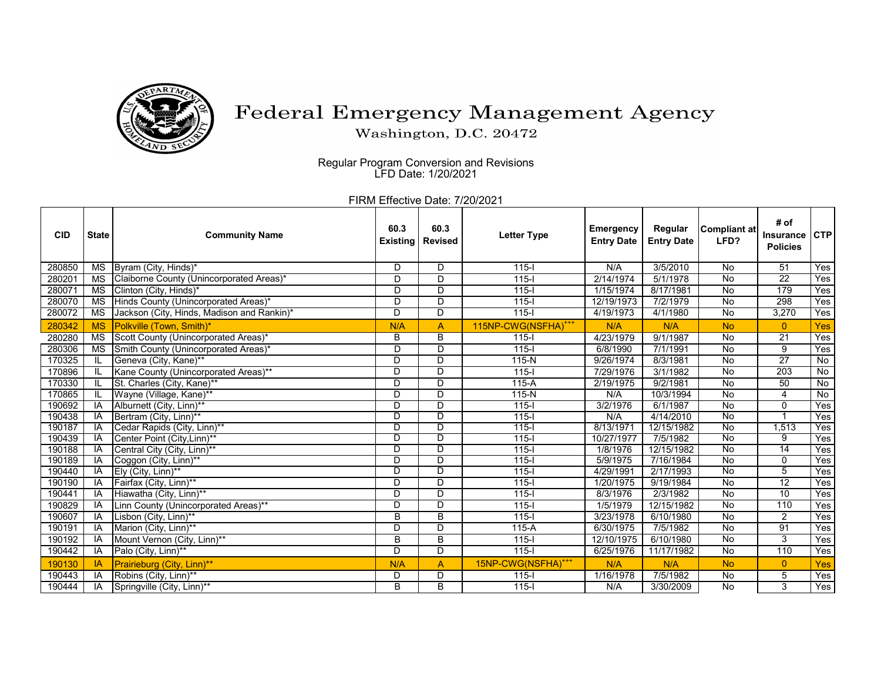

## Federal Emergency Management Agency

Washington, D.C. 20472

Regular Program Conversion and Revisions LFD Date: 1/20/2021

FIRM Effective Date: 7/20/2021

| <b>CID</b> | <b>State</b>           | <b>Community Name</b>                      | 60.3<br><b>Existing</b> | 60.3<br><b>Revised</b> | <b>Letter Type</b>              | Emergency<br><b>Entry Date</b> | Regular<br><b>Entry Date</b> | <b>Compliant at</b><br>LFD? | # of<br>Insurance<br><b>Policies</b> | <b>CTP</b> |
|------------|------------------------|--------------------------------------------|-------------------------|------------------------|---------------------------------|--------------------------------|------------------------------|-----------------------------|--------------------------------------|------------|
| 280850     | <b>MS</b>              | Byram (City, Hinds)*                       | D                       | D                      | $115 -$                         | N/A                            | 3/5/2010                     | <b>No</b>                   | 51                                   | Yes        |
| 280201     | MS                     | Claiborne County (Unincorporated Areas)*   | D                       | D                      | $115 -$                         | 2/14/1974                      | 5/1/1978                     | No                          | $\overline{22}$                      | Yes        |
| 280071     | <b>MS</b>              | Clinton (City, Hinds)*                     | D                       | D                      | $115 -$                         | 1/15/1974                      | 8/17/1981                    | No                          | 179                                  | Yes        |
| 280070     | <b>MS</b>              | Hinds County (Unincorporated Areas)*       | D                       | D                      | $115-I$                         | 12/19/1973                     | 7/2/1979                     | No                          | 298                                  | Yes        |
| 280072     | $\overline{\text{MS}}$ | Jackson (City, Hinds, Madison and Rankin)* | D                       | D                      | $115 -$                         | 4/19/1973                      | 4/1/1980                     | $\overline{N}$              | 3,270                                | Yes        |
| 280342     | <b>MS</b>              | Polkville (Town, Smith)*                   | N/A                     | $\overline{A}$         | 115NP-CWG(NSFHA) <sup>+++</sup> | N/A                            | N/A                          | <b>No</b>                   | $\overline{0}$                       | Yes        |
| 280280     | <b>MS</b>              | Scott County (Unincorporated Areas)*       | B                       | B                      | $115 -$                         | 4/23/1979                      | 9/1/1987                     | <b>No</b>                   | $\overline{21}$                      | Yes        |
| 280306     | <b>MS</b>              | Smith County (Unincorporated Areas)*       | D                       | D                      | $115 -$                         | 6/8/1990                       | 7/1/1991                     | No                          | 9                                    | Yes        |
| 170325     | IL                     | Geneva (City, Kane)**                      | D                       | D                      | $115-N$                         | 9/26/1974                      | 8/3/1981                     | No                          | $\overline{27}$                      | No         |
| 170896     | IL                     | Kane County (Unincorporated Areas)**       | D                       | D                      | $115 -$                         | 7/29/1976                      | 3/1/1982                     | No                          | $\overline{203}$                     | No         |
| 170330     | IL                     | St. Charles (City, Kane)**                 | D                       | D                      | $115-A$                         | 2/19/1975                      | 9/2/1981                     | $\overline{N}$              | 50                                   | No         |
| 170865     | IL                     | Wayne (Village, Kane)**                    | D                       | D                      | $115-N$                         | N/A                            | 10/3/1994                    | $\overline{N}$              | 4                                    | <b>No</b>  |
| 190692     | IA                     | Alburnett (City, Linn)**                   | D                       | D                      | $115 -$                         | 3/2/1976                       | 6/1/1987                     | $\overline{N}$              | $\overline{0}$                       | Yes        |
| 190438     | IA                     | Bertram (City, Linn)**                     | D                       | D                      | $115 -$                         | N/A                            | 4/14/2010                    | $\overline{N}$              |                                      | Yes        |
| 190187     | IA                     | Cedar Rapids (City, Linn)**                | D                       | D                      | $115 -$                         | 8/13/1971                      | 12/15/1982                   | $\overline{N}$              | 1,513                                | Yes        |
| 190439     | IA                     | Center Point (City, Linn)**                | D                       | D                      | $115 -$                         | 10/27/1977                     | 7/5/1982                     | No                          | 9                                    | Yes        |
| 190188     | <b>IA</b>              | Central City (City, Linn)**                | D                       | D                      | $115 -$                         | 1/8/1976                       | 12/15/1982                   | $\overline{N}$              | 14                                   | Yes        |
| 190189     | IA                     | Coggon (City, Linn)**                      | D                       | D                      | $115 -$                         | 5/9/1975                       | 7/16/1984                    | $\overline{N}$              | $\mathbf{0}$                         | Yes        |
| 190440     | IA                     | Ely (City, Linn)**                         | D                       | D                      | $115 -$                         | 4/29/1991                      | 2/17/1993                    | <b>No</b>                   | 5                                    | Yes        |
| 190190     | IA                     | Fairfax (City, Linn)**                     | D                       | D                      | $115 -$                         | 1/20/1975                      | 9/19/1984                    | <b>No</b>                   | $\overline{12}$                      | Yes        |
| 190441     | IA                     | Hiawatha (City, Linn)**                    | D                       | D                      | $115 -$                         | 8/3/1976                       | 2/3/1982                     | $\overline{N}$              | 10                                   | Yes        |
| 190829     | IA                     | Linn County (Unincorporated Areas)**       | D                       | D                      | $115 -$                         | 1/5/1979                       | 12/15/1982                   | No                          | 110                                  | Yes        |
| 190607     | IA                     | Lisbon (City, Linn)**                      | B                       | $\overline{B}$         | $115 -$                         | 3/23/1978                      | 6/10/1980                    | No                          | 2                                    | Yes        |
| 190191     | IA                     | Marion (City, Linn)**                      | D                       | D                      | 115-A                           | 6/30/1975                      | 7/5/1982                     | No                          | 91                                   | Yes        |
| 190192     | IA                     | Mount Vernon (City, Linn)**                | B                       | B                      | $115 -$                         | 12/10/1975                     | 6/10/1980                    | $\overline{N}$              | 3                                    | Yes        |
| 190442     | IA                     | Palo (City, Linn)**                        | D                       | D                      | $115 -$                         | 6/25/1976                      | 11/17/1982                   | $\overline{N}$              | 110                                  | Yes        |
| 190130     | <b>IA</b>              | Prairieburg (City, Linn)**                 | N/A                     | A                      | 15NP-CWG(NSFHA) <sup>+++</sup>  | N/A                            | N/A                          | <b>No</b>                   | $\overline{0}$                       | Yes        |
| 190443     | IA                     | Robins (City, Linn)**                      | D                       | D                      | $115 -$                         | 1/16/1978                      | 7/5/1982                     | No                          | 5                                    | Yes        |
| 190444     | IA                     | Springville (City, Linn)**                 | B                       | B                      | $115 -$                         | N/A                            | 3/30/2009                    | No                          | 3                                    | Yes        |